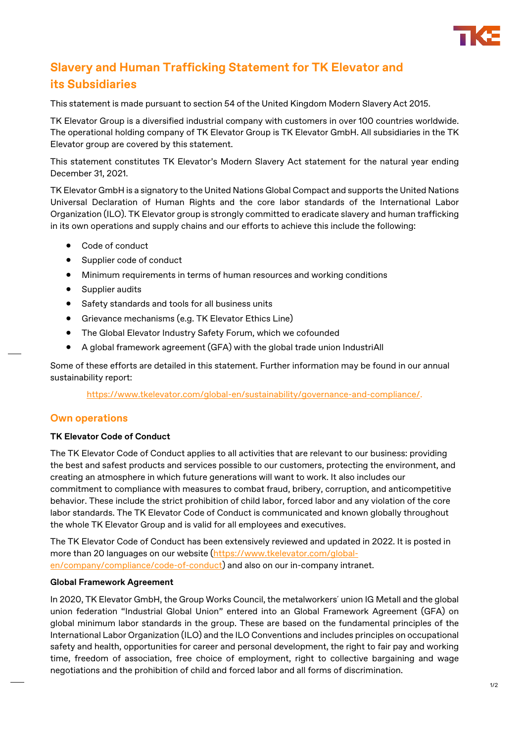

# **Slavery and Human Trafficking Statement for TK Elevator and its Subsidiaries**

This statement is made pursuant to section 54 of the United Kingdom Modern Slavery Act 2015.

TK Elevator Group is a diversified industrial company with customers in over 100 countries worldwide. The operational holding company of TK Elevator Group is TK Elevator GmbH. All subsidiaries in the TK Elevator group are covered by this statement.

This statement constitutes TK Elevator's Modern Slavery Act statement for the natural year ending December 31, 2021.

TK Elevator GmbH is a signatory to the United Nations Global Compact and supports the United Nations Universal Declaration of Human Rights and the core labor standards of the International Labor Organization (ILO). TK Elevator group is strongly committed to eradicate slavery and human trafficking in its own operations and supply chains and our efforts to achieve this include the following:

- Code of conduct
- Supplier code of conduct
- Minimum requirements in terms of human resources and working conditions
- Supplier audits
- Safety standards and tools for all business units
- Grievance mechanisms (e.g. TK Elevator Ethics Line)
- The Global Elevator Industry Safety Forum, which we cofounded
- A global framework agreement (GFA) with the global trade union IndustriAll

Some of these efforts are detailed in this statement. Further information may be found in our annual sustainability report:

[https://www.tkelevator.com/global-en/sustainability/governance-and-compliance/.](https://www.tkelevator.com/global-en/sustainability/governance-and-compliance/)

## **Own operations**

#### **TK Elevator Code of Conduct**

The TK Elevator Code of Conduct applies to all activities that are relevant to our business: providing the best and safest products and services possible to our customers, protecting the environment, and creating an atmosphere in which future generations will want to work. It also includes our commitment to compliance with measures to combat fraud, bribery, corruption, and anticompetitive behavior. These include the strict prohibition of child labor, forced labor and any violation of the core labor standards. The TK Elevator Code of Conduct is communicated and known globally throughout the whole TK Elevator Group and is valid for all employees and executives.

The TK Elevator Code of Conduct has been extensively reviewed and updated in 2022. It is posted in more than 20 languages on our website [\(https://www.tkelevator.com/global](https://www.tkelevator.com/global-en/company/compliance/code-of-conduct)[en/company/compliance/code-of-conduct\)](https://www.tkelevator.com/global-en/company/compliance/code-of-conduct) and also on our in-company intranet.

#### **Global Framework Agreement**

In 2020, TK Elevator GmbH, the Group Works Council, the metalworkers´ union IG Metall and the global union federation "Industrial Global Union" entered into an Global Framework Agreement (GFA) on global minimum labor standards in the group. These are based on the fundamental principles of the International Labor Organization (ILO) and the ILO Conventions and includes principles on occupational safety and health, opportunities for career and personal development, the right to fair pay and working time, freedom of association, free choice of employment, right to collective bargaining and wage negotiations and the prohibition of child and forced labor and all forms of discrimination.